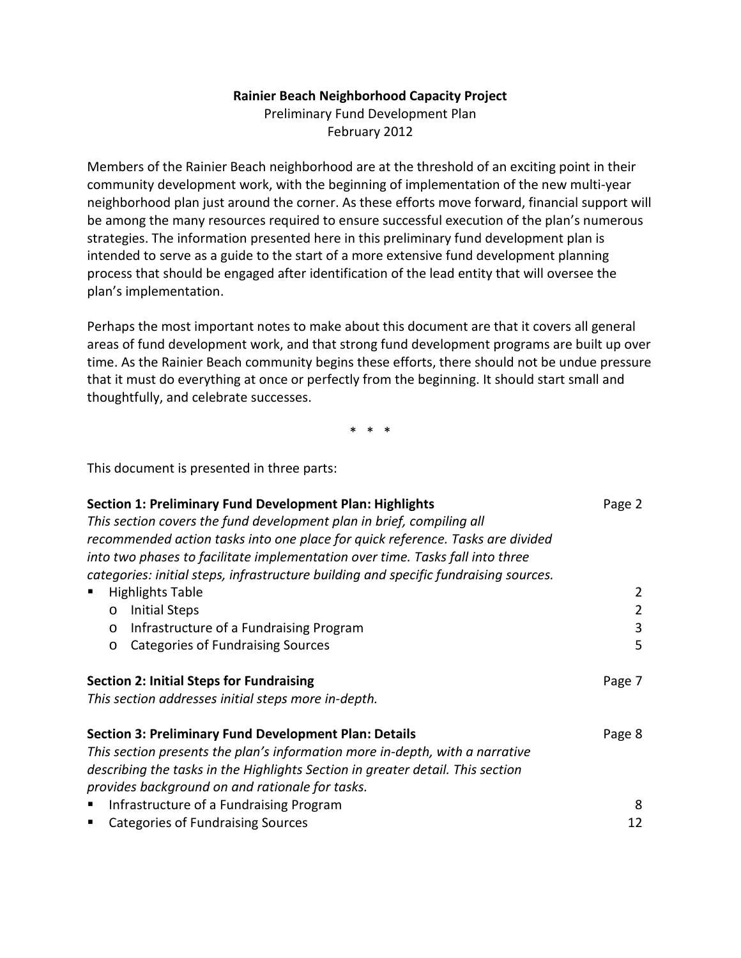#### **Rainier Beach Neighborhood Capacity Project**

Preliminary Fund Development Plan February 2012

Members of the Rainier Beach neighborhood are at the threshold of an exciting point in their community development work, with the beginning of implementation of the new multi-year neighborhood plan just around the corner. As these efforts move forward, financial support will be among the many resources required to ensure successful execution of the plan's numerous strategies. The information presented here in this preliminary fund development plan is intended to serve as a guide to the start of a more extensive fund development planning process that should be engaged after identification of the lead entity that will oversee the plan's implementation.

Perhaps the most important notes to make about this document are that it covers all general areas of fund development work, and that strong fund development programs are built up over time. As the Rainier Beach community begins these efforts, there should not be undue pressure that it must do everything at once or perfectly from the beginning. It should start small and thoughtfully, and celebrate successes.

\* \* \*

This document is presented in three parts:

| <b>Section 1: Preliminary Fund Development Plan: Highlights</b>                      | Page 2 |
|--------------------------------------------------------------------------------------|--------|
| This section covers the fund development plan in brief, compiling all                |        |
| recommended action tasks into one place for quick reference. Tasks are divided       |        |
| into two phases to facilitate implementation over time. Tasks fall into three        |        |
| categories: initial steps, infrastructure building and specific fundraising sources. |        |
| <b>Highlights Table</b>                                                              | 2      |
| <b>Initial Steps</b><br>$\circ$                                                      | 2      |
| Infrastructure of a Fundraising Program<br>$\circ$                                   | 3      |
| Categories of Fundraising Sources<br>$\circ$                                         | 5      |
| <b>Section 2: Initial Steps for Fundraising</b>                                      | Page 7 |
| This section addresses initial steps more in-depth.                                  |        |
| <b>Section 3: Preliminary Fund Development Plan: Details</b>                         | Page 8 |
| This section presents the plan's information more in-depth, with a narrative         |        |
| describing the tasks in the Highlights Section in greater detail. This section       |        |
| provides background on and rationale for tasks.                                      |        |
| Infrastructure of a Fundraising Program<br>п                                         | 8      |
| <b>Categories of Fundraising Sources</b><br>п                                        | 12     |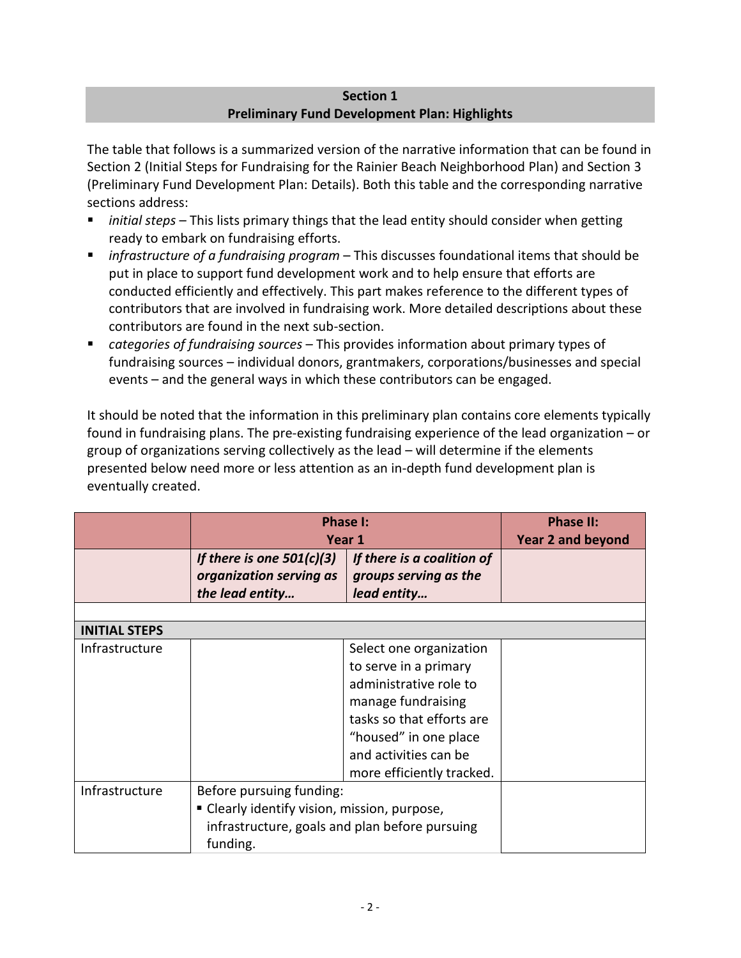### **Section 1 Preliminary Fund Development Plan: Highlights**

<span id="page-1-1"></span><span id="page-1-0"></span>The table that follows is a summarized version of the narrative information that can be found in Section 2 (Initial Steps for Fundraising for the Rainier Beach Neighborhood Plan) and Section 3 (Preliminary Fund Development Plan: Details). Both this table and the corresponding narrative sections address:

- *initial steps* This lists primary things that the lead entity should consider when getting ready to embark on fundraising efforts.
- *infrastructure of a fundraising program*  This discusses foundational items that should be put in place to support fund development work and to help ensure that efforts are conducted efficiently and effectively. This part makes reference to the different types of contributors that are involved in fundraising work. More detailed descriptions about these contributors are found in the next sub-section.
- *categories of fundraising sources*  This provides information about primary types of fundraising sources – individual donors, grantmakers, corporations/businesses and special events – and the general ways in which these contributors can be engaged.

It should be noted that the information in this preliminary plan contains core elements typically found in fundraising plans. The pre-existing fundraising experience of the lead organization – or group of organizations serving collectively as the lead – will determine if the elements presented below need more or less attention as an in-depth fund development plan is eventually created.

<span id="page-1-2"></span>

|                      | <b>Phase I:</b><br>Year 1                                                                                                              |                                                                                                                                                                                                              | <b>Phase II:</b><br><b>Year 2 and beyond</b> |
|----------------------|----------------------------------------------------------------------------------------------------------------------------------------|--------------------------------------------------------------------------------------------------------------------------------------------------------------------------------------------------------------|----------------------------------------------|
|                      | If there is one $501(c)(3)$<br>organization serving as<br>the lead entity                                                              | If there is a coalition of<br>groups serving as the<br>lead entity                                                                                                                                           |                                              |
| <b>INITIAL STEPS</b> |                                                                                                                                        |                                                                                                                                                                                                              |                                              |
| Infrastructure       |                                                                                                                                        | Select one organization<br>to serve in a primary<br>administrative role to<br>manage fundraising<br>tasks so that efforts are<br>"housed" in one place<br>and activities can be<br>more efficiently tracked. |                                              |
| Infrastructure       | Before pursuing funding:<br>• Clearly identify vision, mission, purpose,<br>infrastructure, goals and plan before pursuing<br>funding. |                                                                                                                                                                                                              |                                              |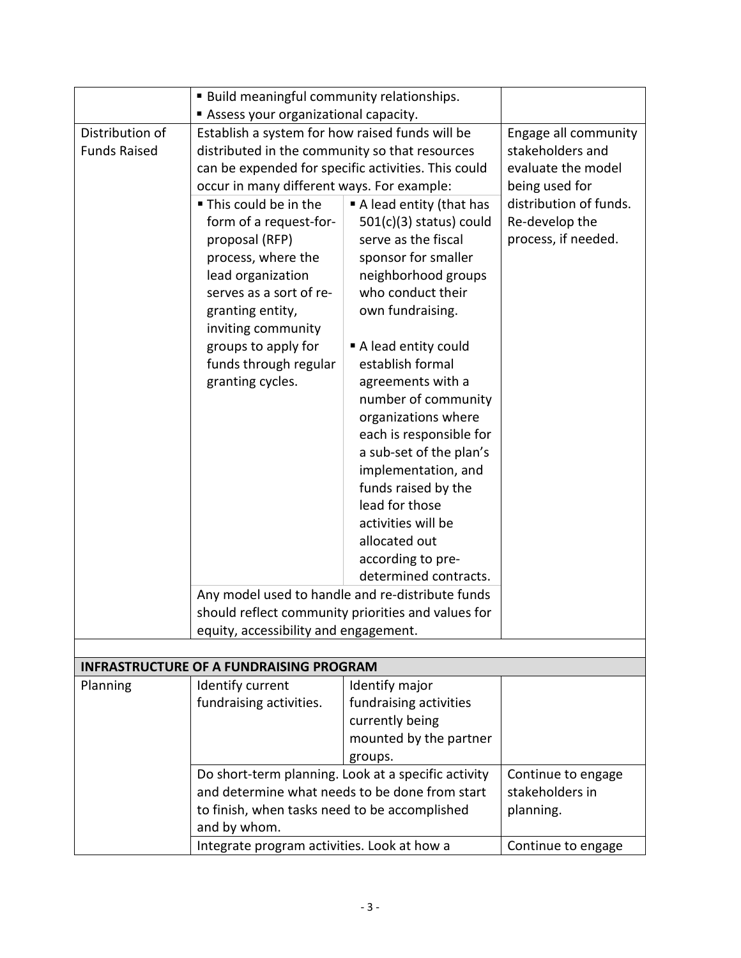<span id="page-2-0"></span>

|                     | <b>Build meaningful community relationships.</b>                                                                                                       |                                                     |                        |
|---------------------|--------------------------------------------------------------------------------------------------------------------------------------------------------|-----------------------------------------------------|------------------------|
|                     | Assess your organizational capacity.                                                                                                                   |                                                     |                        |
| Distribution of     | Establish a system for how raised funds will be                                                                                                        |                                                     | Engage all community   |
| <b>Funds Raised</b> | distributed in the community so that resources                                                                                                         |                                                     | stakeholders and       |
|                     |                                                                                                                                                        | can be expended for specific activities. This could | evaluate the model     |
|                     | occur in many different ways. For example:                                                                                                             |                                                     | being used for         |
|                     | ■ This could be in the                                                                                                                                 | A lead entity (that has                             | distribution of funds. |
|                     | form of a request-for-                                                                                                                                 | $501(c)(3)$ status) could                           | Re-develop the         |
|                     | proposal (RFP)                                                                                                                                         | serve as the fiscal                                 | process, if needed.    |
|                     | process, where the                                                                                                                                     | sponsor for smaller                                 |                        |
|                     | lead organization                                                                                                                                      | neighborhood groups                                 |                        |
|                     | serves as a sort of re-                                                                                                                                | who conduct their                                   |                        |
|                     | granting entity,                                                                                                                                       | own fundraising.                                    |                        |
|                     | inviting community                                                                                                                                     |                                                     |                        |
|                     | groups to apply for                                                                                                                                    | A lead entity could                                 |                        |
|                     | funds through regular                                                                                                                                  | establish formal                                    |                        |
|                     | granting cycles.                                                                                                                                       | agreements with a                                   |                        |
|                     |                                                                                                                                                        | number of community                                 |                        |
|                     |                                                                                                                                                        | organizations where                                 |                        |
|                     |                                                                                                                                                        | each is responsible for                             |                        |
|                     |                                                                                                                                                        | a sub-set of the plan's                             |                        |
|                     |                                                                                                                                                        | implementation, and                                 |                        |
|                     |                                                                                                                                                        | funds raised by the                                 |                        |
|                     |                                                                                                                                                        | lead for those                                      |                        |
|                     |                                                                                                                                                        | activities will be                                  |                        |
|                     |                                                                                                                                                        | allocated out                                       |                        |
|                     |                                                                                                                                                        | according to pre-                                   |                        |
|                     |                                                                                                                                                        | determined contracts.                               |                        |
|                     |                                                                                                                                                        | Any model used to handle and re-distribute funds    |                        |
|                     | should reflect community priorities and values for                                                                                                     |                                                     |                        |
|                     | equity, accessibility and engagement.                                                                                                                  |                                                     |                        |
|                     |                                                                                                                                                        |                                                     |                        |
|                     | <b>INFRASTRUCTURE OF A FUNDRAISING PROGRAM</b>                                                                                                         |                                                     |                        |
| Planning            | Identify current                                                                                                                                       | Identify major                                      |                        |
|                     | fundraising activities.                                                                                                                                | fundraising activities                              |                        |
|                     |                                                                                                                                                        | currently being                                     |                        |
|                     |                                                                                                                                                        | mounted by the partner                              |                        |
|                     |                                                                                                                                                        | groups.                                             |                        |
|                     | Do short-term planning. Look at a specific activity<br>and determine what needs to be done from start<br>to finish, when tasks need to be accomplished |                                                     | Continue to engage     |
|                     |                                                                                                                                                        |                                                     | stakeholders in        |
|                     |                                                                                                                                                        |                                                     | planning.              |
|                     | and by whom.                                                                                                                                           |                                                     |                        |
|                     | Integrate program activities. Look at how a                                                                                                            |                                                     | Continue to engage     |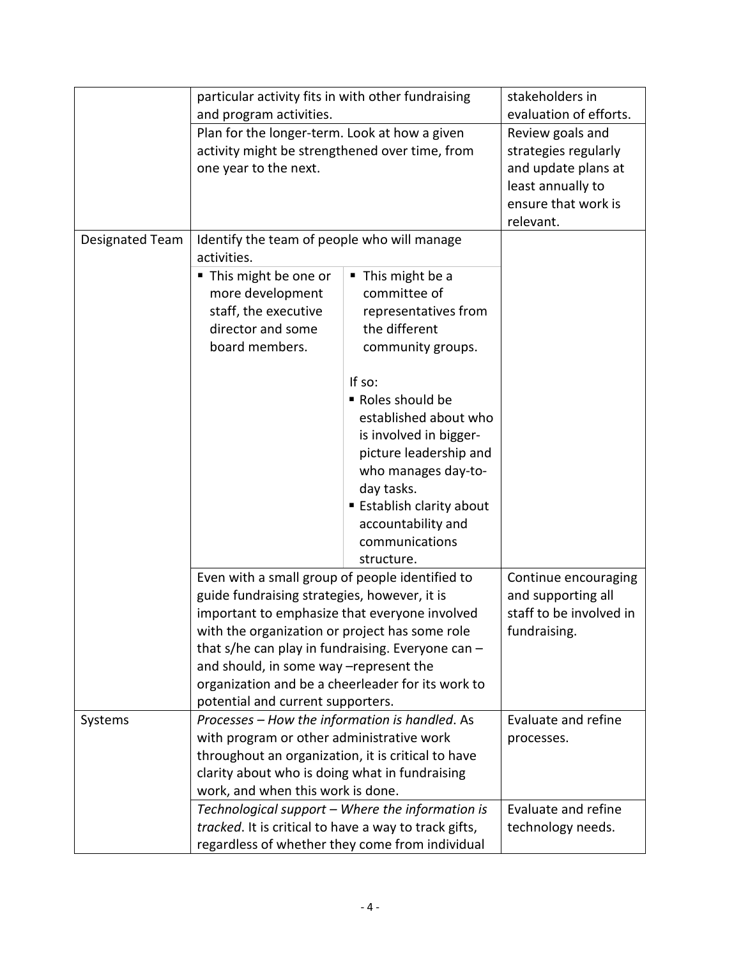|                                                       | particular activity fits in with other fundraising<br>and program activities.<br>Plan for the longer-term. Look at how a given                    |                                                  | stakeholders in         |
|-------------------------------------------------------|---------------------------------------------------------------------------------------------------------------------------------------------------|--------------------------------------------------|-------------------------|
|                                                       |                                                                                                                                                   |                                                  | evaluation of efforts.  |
|                                                       |                                                                                                                                                   |                                                  | Review goals and        |
|                                                       | activity might be strengthened over time, from                                                                                                    |                                                  | strategies regularly    |
|                                                       | one year to the next.                                                                                                                             |                                                  | and update plans at     |
|                                                       |                                                                                                                                                   |                                                  | least annually to       |
|                                                       |                                                                                                                                                   |                                                  | ensure that work is     |
|                                                       |                                                                                                                                                   |                                                  | relevant.               |
| Designated Team                                       | Identify the team of people who will manage                                                                                                       |                                                  |                         |
|                                                       | activities.                                                                                                                                       |                                                  |                         |
|                                                       | ■ This might be one or                                                                                                                            | This might be a                                  |                         |
|                                                       | more development                                                                                                                                  | committee of                                     |                         |
|                                                       | staff, the executive                                                                                                                              | representatives from                             |                         |
|                                                       | director and some                                                                                                                                 | the different                                    |                         |
|                                                       | board members.                                                                                                                                    | community groups.                                |                         |
|                                                       |                                                                                                                                                   |                                                  |                         |
|                                                       |                                                                                                                                                   | If so:                                           |                         |
|                                                       |                                                                                                                                                   | Roles should be                                  |                         |
|                                                       |                                                                                                                                                   | established about who                            |                         |
|                                                       |                                                                                                                                                   | is involved in bigger-                           |                         |
|                                                       |                                                                                                                                                   | picture leadership and                           |                         |
|                                                       |                                                                                                                                                   | who manages day-to-                              |                         |
|                                                       |                                                                                                                                                   | day tasks.                                       |                         |
|                                                       |                                                                                                                                                   | <b>Establish clarity about</b>                   |                         |
|                                                       |                                                                                                                                                   | accountability and                               |                         |
|                                                       |                                                                                                                                                   | communications                                   |                         |
|                                                       |                                                                                                                                                   | structure.                                       |                         |
|                                                       | Even with a small group of people identified to                                                                                                   |                                                  | Continue encouraging    |
|                                                       | guide fundraising strategies, however, it is                                                                                                      |                                                  | and supporting all      |
|                                                       | important to emphasize that everyone involved                                                                                                     |                                                  | staff to be involved in |
|                                                       | with the organization or project has some role                                                                                                    |                                                  | fundraising.            |
|                                                       | that s/he can play in fundraising. Everyone can -                                                                                                 |                                                  |                         |
|                                                       | and should, in some way -represent the                                                                                                            |                                                  |                         |
|                                                       | organization and be a cheerleader for its work to                                                                                                 |                                                  |                         |
|                                                       | potential and current supporters.                                                                                                                 |                                                  |                         |
| Systems                                               | Processes - How the information is handled. As                                                                                                    |                                                  | Evaluate and refine     |
|                                                       | with program or other administrative work<br>throughout an organization, it is critical to have<br>clarity about who is doing what in fundraising |                                                  | processes.              |
|                                                       |                                                                                                                                                   |                                                  |                         |
|                                                       |                                                                                                                                                   |                                                  |                         |
|                                                       | work, and when this work is done.                                                                                                                 |                                                  |                         |
|                                                       |                                                                                                                                                   | Technological support - Where the information is | Evaluate and refine     |
| tracked. It is critical to have a way to track gifts, |                                                                                                                                                   | technology needs.                                |                         |
|                                                       | regardless of whether they come from individual                                                                                                   |                                                  |                         |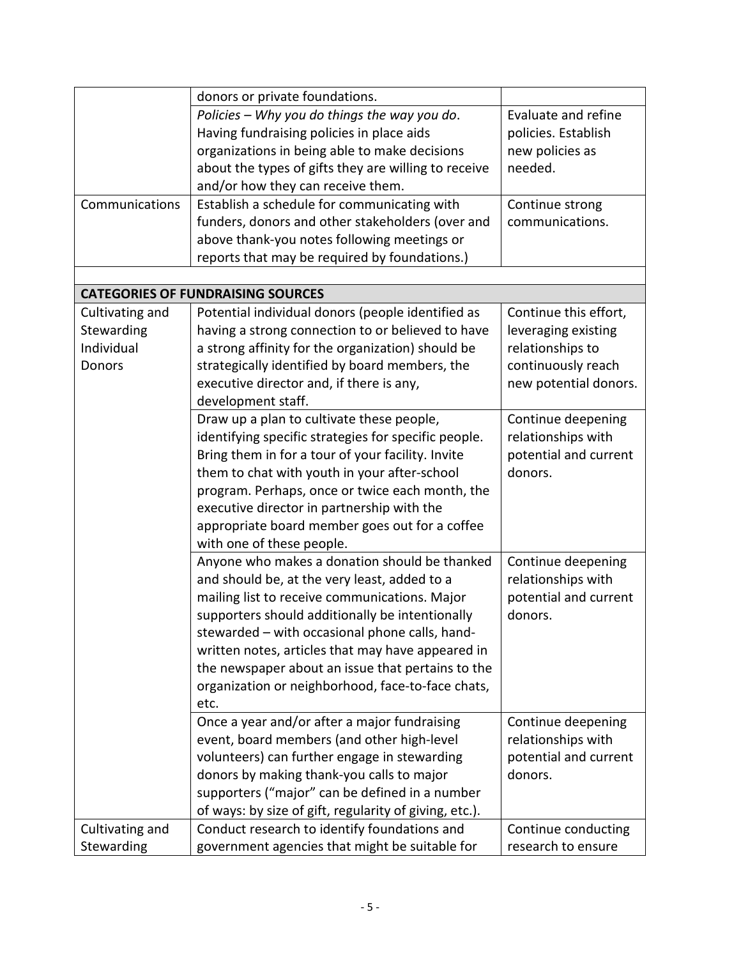<span id="page-4-0"></span>

|                 | donors or private foundations.                         |                       |
|-----------------|--------------------------------------------------------|-----------------------|
|                 | Policies - Why you do things the way you do.           | Evaluate and refine   |
|                 | Having fundraising policies in place aids              | policies. Establish   |
|                 | organizations in being able to make decisions          | new policies as       |
|                 | about the types of gifts they are willing to receive   | needed.               |
|                 | and/or how they can receive them.                      |                       |
| Communications  | Establish a schedule for communicating with            | Continue strong       |
|                 | funders, donors and other stakeholders (over and       | communications.       |
|                 | above thank-you notes following meetings or            |                       |
|                 | reports that may be required by foundations.)          |                       |
|                 |                                                        |                       |
|                 | <b>CATEGORIES OF FUNDRAISING SOURCES</b>               |                       |
| Cultivating and | Potential individual donors (people identified as      | Continue this effort, |
| Stewarding      | having a strong connection to or believed to have      | leveraging existing   |
| Individual      | a strong affinity for the organization) should be      | relationships to      |
| <b>Donors</b>   | strategically identified by board members, the         | continuously reach    |
|                 | executive director and, if there is any,               | new potential donors. |
|                 | development staff.                                     |                       |
|                 | Draw up a plan to cultivate these people,              | Continue deepening    |
|                 | identifying specific strategies for specific people.   | relationships with    |
|                 | Bring them in for a tour of your facility. Invite      | potential and current |
|                 | them to chat with youth in your after-school           | donors.               |
|                 |                                                        |                       |
|                 | program. Perhaps, once or twice each month, the        |                       |
|                 | executive director in partnership with the             |                       |
|                 | appropriate board member goes out for a coffee         |                       |
|                 | with one of these people.                              |                       |
|                 | Anyone who makes a donation should be thanked          | Continue deepening    |
|                 | and should be, at the very least, added to a           | relationships with    |
|                 | mailing list to receive communications. Major          | potential and current |
|                 | supporters should additionally be intentionally        | donors.               |
|                 | stewarded – with occasional phone calls, hand-         |                       |
|                 | written notes, articles that may have appeared in      |                       |
|                 | the newspaper about an issue that pertains to the      |                       |
|                 | organization or neighborhood, face-to-face chats,      |                       |
|                 | etc.                                                   |                       |
|                 | Once a year and/or after a major fundraising           | Continue deepening    |
|                 | event, board members (and other high-level             | relationships with    |
|                 | volunteers) can further engage in stewarding           | potential and current |
|                 | donors by making thank-you calls to major              | donors.               |
|                 | supporters ("major" can be defined in a number         |                       |
|                 | of ways: by size of gift, regularity of giving, etc.). |                       |
| Cultivating and | Conduct research to identify foundations and           | Continue conducting   |
| Stewarding      | government agencies that might be suitable for         | research to ensure    |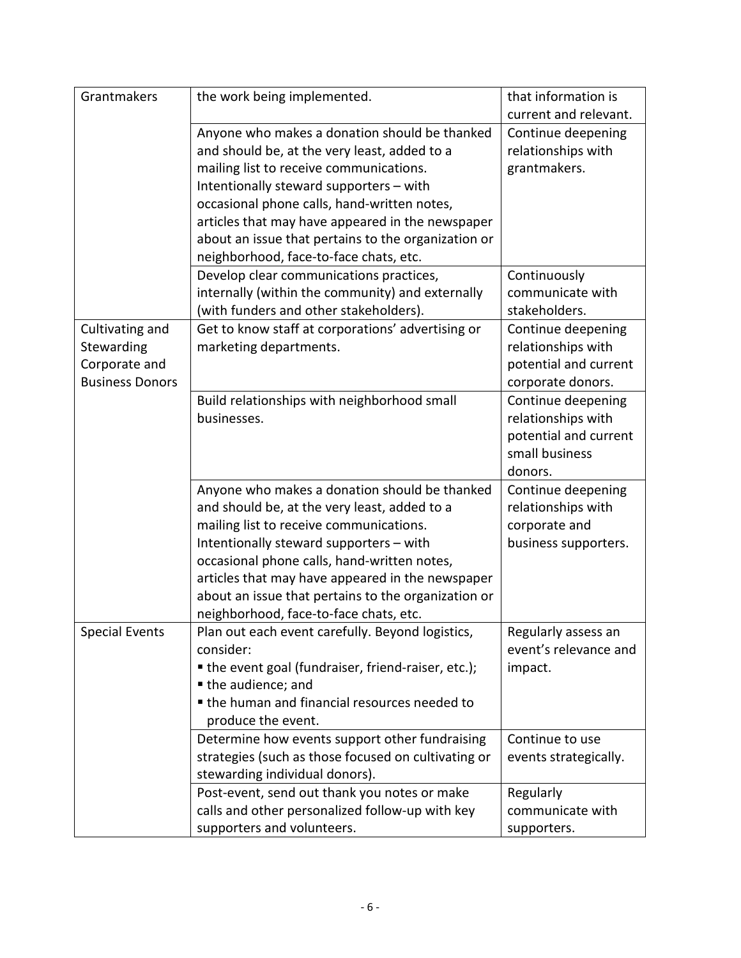| Grantmakers            | the work being implemented.                         | that information is                          |
|------------------------|-----------------------------------------------------|----------------------------------------------|
|                        |                                                     | current and relevant.                        |
|                        | Anyone who makes a donation should be thanked       | Continue deepening                           |
|                        | and should be, at the very least, added to a        | relationships with                           |
|                        | mailing list to receive communications.             | grantmakers.                                 |
|                        | Intentionally steward supporters - with             |                                              |
|                        | occasional phone calls, hand-written notes,         |                                              |
|                        | articles that may have appeared in the newspaper    |                                              |
|                        | about an issue that pertains to the organization or |                                              |
|                        | neighborhood, face-to-face chats, etc.              |                                              |
|                        | Develop clear communications practices,             | Continuously                                 |
|                        | internally (within the community) and externally    | communicate with                             |
|                        | (with funders and other stakeholders).              | stakeholders.                                |
| Cultivating and        | Get to know staff at corporations' advertising or   | Continue deepening                           |
| Stewarding             | marketing departments.                              | relationships with                           |
| Corporate and          |                                                     | potential and current                        |
| <b>Business Donors</b> |                                                     | corporate donors.                            |
|                        | Build relationships with neighborhood small         | Continue deepening                           |
|                        | businesses.                                         | relationships with                           |
|                        |                                                     | potential and current                        |
|                        |                                                     | small business                               |
|                        |                                                     | donors.                                      |
|                        | Anyone who makes a donation should be thanked       | Continue deepening                           |
|                        | and should be, at the very least, added to a        | relationships with                           |
|                        | mailing list to receive communications.             | corporate and                                |
|                        | Intentionally steward supporters - with             | business supporters.                         |
|                        | occasional phone calls, hand-written notes,         |                                              |
|                        |                                                     |                                              |
|                        | articles that may have appeared in the newspaper    |                                              |
|                        | about an issue that pertains to the organization or |                                              |
|                        | neighborhood, face-to-face chats, etc.              |                                              |
| <b>Special Events</b>  | Plan out each event carefully. Beyond logistics,    | Regularly assess an<br>event's relevance and |
|                        | consider:                                           |                                              |
|                        | • the event goal (fundraiser, friend-raiser, etc.); | impact.                                      |
|                        | the audience; and                                   |                                              |
|                        | • the human and financial resources needed to       |                                              |
|                        | produce the event.                                  |                                              |
|                        | Determine how events support other fundraising      | Continue to use                              |
|                        | strategies (such as those focused on cultivating or | events strategically.                        |
|                        | stewarding individual donors).                      |                                              |
|                        | Post-event, send out thank you notes or make        | Regularly                                    |
|                        | calls and other personalized follow-up with key     | communicate with                             |
|                        | supporters and volunteers.                          | supporters.                                  |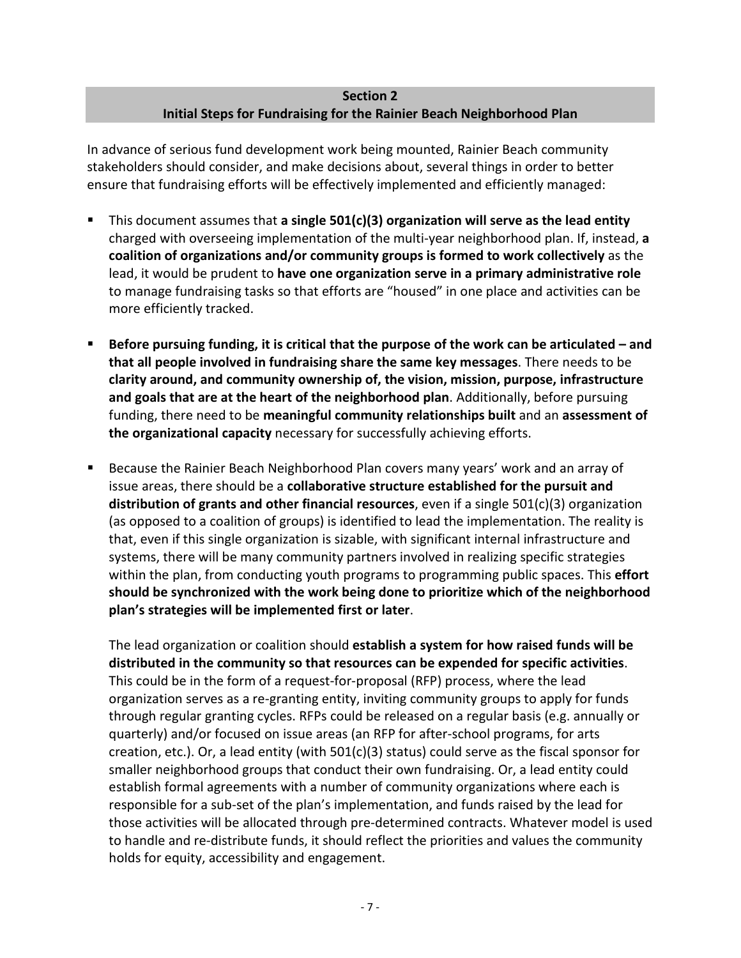## **Section 2 Initial Steps for Fundraising for the Rainier Beach Neighborhood Plan**

<span id="page-6-0"></span>In advance of serious fund development work being mounted, Rainier Beach community stakeholders should consider, and make decisions about, several things in order to better ensure that fundraising efforts will be effectively implemented and efficiently managed:

- This document assumes that **a single 501(c)(3) organization will serve as the lead entity** charged with overseeing implementation of the multi-year neighborhood plan. If, instead, **a coalition of organizations and/or community groups is formed to work collectively** as the lead, it would be prudent to **have one organization serve in a primary administrative role** to manage fundraising tasks so that efforts are "housed" in one place and activities can be more efficiently tracked.
- **Before pursuing funding, it is critical that the purpose of the work can be articulated – and that all people involved in fundraising share the same key messages**. There needs to be **clarity around, and community ownership of, the vision, mission, purpose, infrastructure and goals that are at the heart of the neighborhood plan**. Additionally, before pursuing funding, there need to be **meaningful community relationships built** and an **assessment of the organizational capacity** necessary for successfully achieving efforts.
- Because the Rainier Beach Neighborhood Plan covers many years' work and an array of issue areas, there should be a **collaborative structure established for the pursuit and distribution of grants and other financial resources**, even if a single 501(c)(3) organization (as opposed to a coalition of groups) is identified to lead the implementation. The reality is that, even if this single organization is sizable, with significant internal infrastructure and systems, there will be many community partners involved in realizing specific strategies within the plan, from conducting youth programs to programming public spaces. This **effort should be synchronized with the work being done to prioritize which of the neighborhood plan's strategies will be implemented first or later**.

The lead organization or coalition should **establish a system for how raised funds will be distributed in the community so that resources can be expended for specific activities**. This could be in the form of a request-for-proposal (RFP) process, where the lead organization serves as a re-granting entity, inviting community groups to apply for funds through regular granting cycles. RFPs could be released on a regular basis (e.g. annually or quarterly) and/or focused on issue areas (an RFP for after-school programs, for arts creation, etc.). Or, a lead entity (with 501(c)(3) status) could serve as the fiscal sponsor for smaller neighborhood groups that conduct their own fundraising. Or, a lead entity could establish formal agreements with a number of community organizations where each is responsible for a sub-set of the plan's implementation, and funds raised by the lead for those activities will be allocated through pre-determined contracts. Whatever model is used to handle and re-distribute funds, it should reflect the priorities and values the community holds for equity, accessibility and engagement.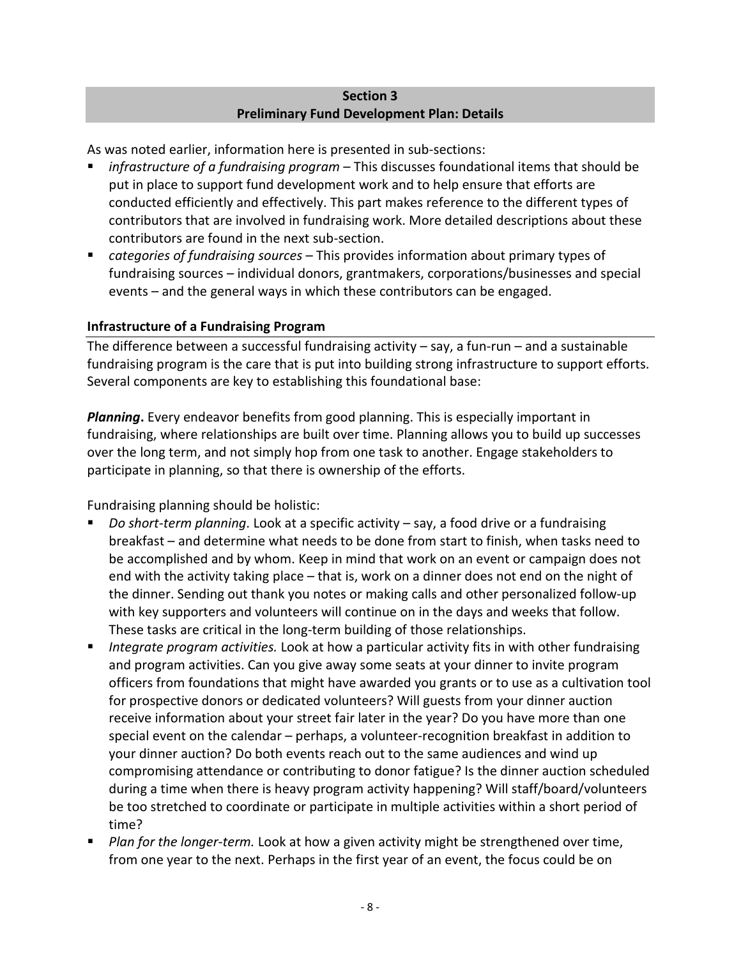### **Section 3 Preliminary Fund Development Plan: Details**

<span id="page-7-0"></span>As was noted earlier, information here is presented in sub-sections:

- *infrastructure of a fundraising program* This discusses foundational items that should be put in place to support fund development work and to help ensure that efforts are conducted efficiently and effectively. This part makes reference to the different types of contributors that are involved in fundraising work. More detailed descriptions about these contributors are found in the next sub-section.
- *categories of fundraising sources*  This provides information about primary types of fundraising sources – individual donors, grantmakers, corporations/businesses and special events – and the general ways in which these contributors can be engaged.

# <span id="page-7-1"></span>**Infrastructure of a Fundraising Program**

The difference between a successful fundraising activity  $-$  say, a fun-run  $-$  and a sustainable fundraising program is the care that is put into building strong infrastructure to support efforts. Several components are key to establishing this foundational base:

*Planning*. Every endeavor benefits from good planning. This is especially important in fundraising, where relationships are built over time. Planning allows you to build up successes over the long term, and not simply hop from one task to another. Engage stakeholders to participate in planning, so that there is ownership of the efforts.

Fundraising planning should be holistic:

- *Do short-term planning*. Look at a specific activity say, a food drive or a fundraising breakfast – and determine what needs to be done from start to finish, when tasks need to be accomplished and by whom. Keep in mind that work on an event or campaign does not end with the activity taking place – that is, work on a dinner does not end on the night of the dinner. Sending out thank you notes or making calls and other personalized follow-up with key supporters and volunteers will continue on in the days and weeks that follow. These tasks are critical in the long-term building of those relationships.
- *Integrate program activities.* Look at how a particular activity fits in with other fundraising and program activities. Can you give away some seats at your dinner to invite program officers from foundations that might have awarded you grants or to use as a cultivation tool for prospective donors or dedicated volunteers? Will guests from your dinner auction receive information about your street fair later in the year? Do you have more than one special event on the calendar – perhaps, a volunteer-recognition breakfast in addition to your dinner auction? Do both events reach out to the same audiences and wind up compromising attendance or contributing to donor fatigue? Is the dinner auction scheduled during a time when there is heavy program activity happening? Will staff/board/volunteers be too stretched to coordinate or participate in multiple activities within a short period of time?
- **Plan for the longer-term.** Look at how a given activity might be strengthened over time, from one year to the next. Perhaps in the first year of an event, the focus could be on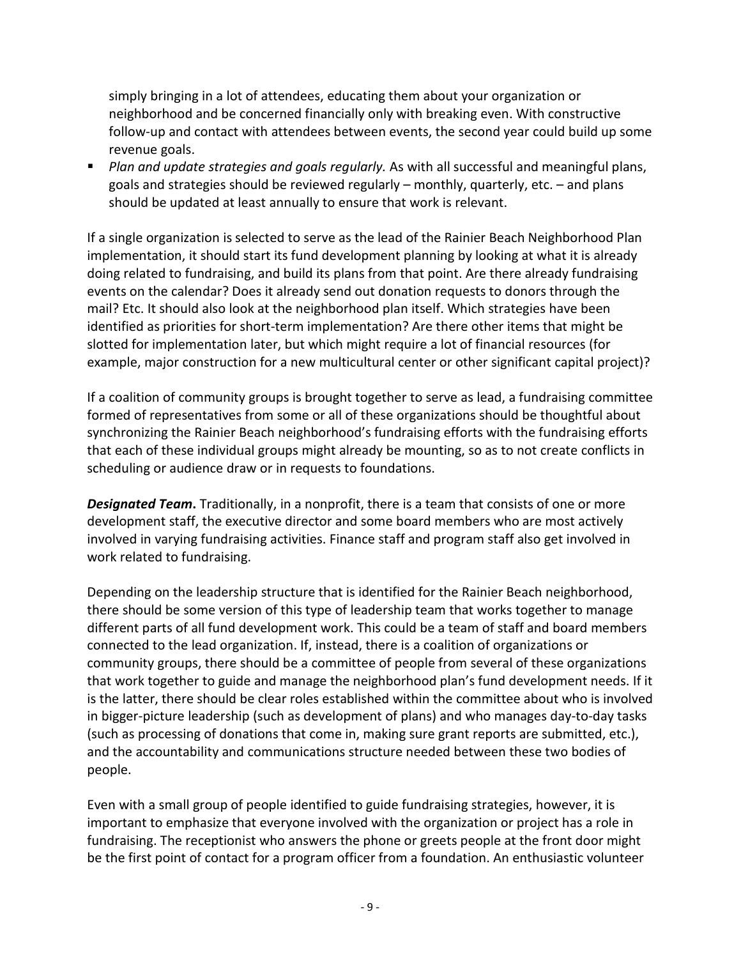simply bringing in a lot of attendees, educating them about your organization or neighborhood and be concerned financially only with breaking even. With constructive follow-up and contact with attendees between events, the second year could build up some revenue goals.

**Plan and update strategies and goals regularly.** As with all successful and meaningful plans, goals and strategies should be reviewed regularly – monthly, quarterly, etc. – and plans should be updated at least annually to ensure that work is relevant.

If a single organization is selected to serve as the lead of the Rainier Beach Neighborhood Plan implementation, it should start its fund development planning by looking at what it is already doing related to fundraising, and build its plans from that point. Are there already fundraising events on the calendar? Does it already send out donation requests to donors through the mail? Etc. It should also look at the neighborhood plan itself. Which strategies have been identified as priorities for short-term implementation? Are there other items that might be slotted for implementation later, but which might require a lot of financial resources (for example, major construction for a new multicultural center or other significant capital project)?

If a coalition of community groups is brought together to serve as lead, a fundraising committee formed of representatives from some or all of these organizations should be thoughtful about synchronizing the Rainier Beach neighborhood's fundraising efforts with the fundraising efforts that each of these individual groups might already be mounting, so as to not create conflicts in scheduling or audience draw or in requests to foundations.

*Designated Team***.** Traditionally, in a nonprofit, there is a team that consists of one or more development staff, the executive director and some board members who are most actively involved in varying fundraising activities. Finance staff and program staff also get involved in work related to fundraising.

Depending on the leadership structure that is identified for the Rainier Beach neighborhood, there should be some version of this type of leadership team that works together to manage different parts of all fund development work. This could be a team of staff and board members connected to the lead organization. If, instead, there is a coalition of organizations or community groups, there should be a committee of people from several of these organizations that work together to guide and manage the neighborhood plan's fund development needs. If it is the latter, there should be clear roles established within the committee about who is involved in bigger-picture leadership (such as development of plans) and who manages day-to-day tasks (such as processing of donations that come in, making sure grant reports are submitted, etc.), and the accountability and communications structure needed between these two bodies of people.

Even with a small group of people identified to guide fundraising strategies, however, it is important to emphasize that everyone involved with the organization or project has a role in fundraising. The receptionist who answers the phone or greets people at the front door might be the first point of contact for a program officer from a foundation. An enthusiastic volunteer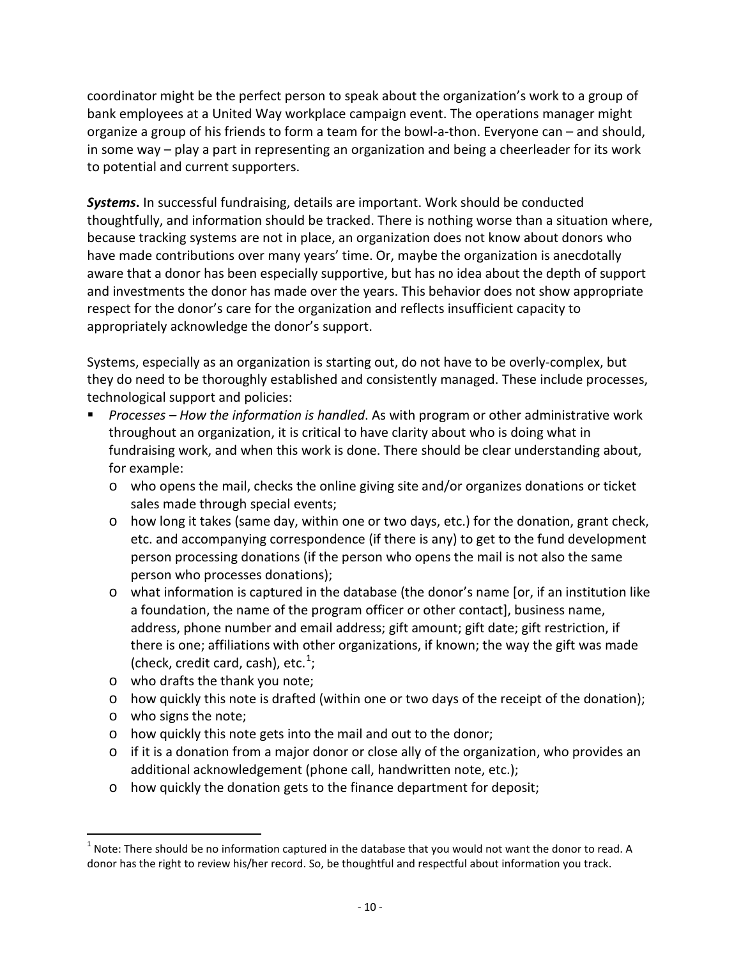coordinator might be the perfect person to speak about the organization's work to a group of bank employees at a United Way workplace campaign event. The operations manager might organize a group of his friends to form a team for the bowl-a-thon. Everyone can – and should, in some way – play a part in representing an organization and being a cheerleader for its work to potential and current supporters.

*Systems***.** In successful fundraising, details are important. Work should be conducted thoughtfully, and information should be tracked. There is nothing worse than a situation where, because tracking systems are not in place, an organization does not know about donors who have made contributions over many years' time. Or, maybe the organization is anecdotally aware that a donor has been especially supportive, but has no idea about the depth of support and investments the donor has made over the years. This behavior does not show appropriate respect for the donor's care for the organization and reflects insufficient capacity to appropriately acknowledge the donor's support.

Systems, especially as an organization is starting out, do not have to be overly-complex, but they do need to be thoroughly established and consistently managed. These include processes, technological support and policies:

- *Processes – How the information is handled*. As with program or other administrative work throughout an organization, it is critical to have clarity about who is doing what in fundraising work, and when this work is done. There should be clear understanding about, for example:
	- o who opens the mail, checks the online giving site and/or organizes donations or ticket sales made through special events;
	- o how long it takes (same day, within one or two days, etc.) for the donation, grant check, etc. and accompanying correspondence (if there is any) to get to the fund development person processing donations (if the person who opens the mail is not also the same person who processes donations);
	- $\circ$  what information is captured in the database (the donor's name [or, if an institution like a foundation, the name of the program officer or other contact], business name, address, phone number and email address; gift amount; gift date; gift restriction, if there is one; affiliations with other organizations, if known; the way the gift was made (check, credit card, cash), etc. $1$ ;
	- o who drafts the thank you note;
	- o how quickly this note is drafted (within one or two days of the receipt of the donation);
	- o who signs the note;
	- o how quickly this note gets into the mail and out to the donor;
	- o if it is a donation from a major donor or close ally of the organization, who provides an additional acknowledgement (phone call, handwritten note, etc.);
	- o how quickly the donation gets to the finance department for deposit;

<span id="page-9-0"></span> $1$  Note: There should be no information captured in the database that you would not want the donor to read. A donor has the right to review his/her record. So, be thoughtful and respectful about information you track.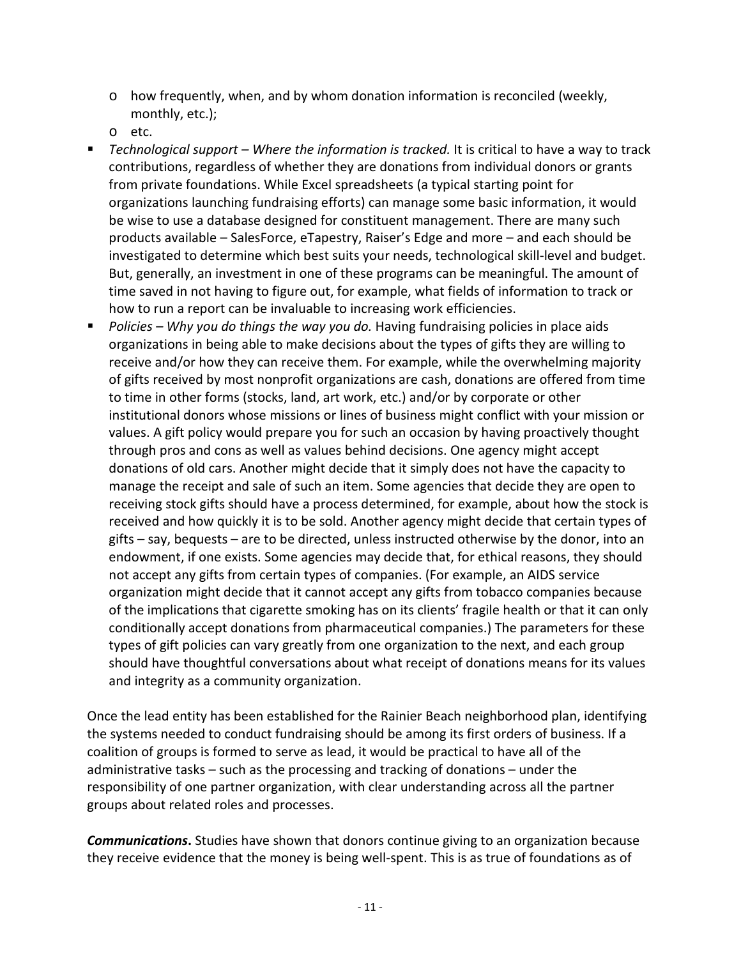- o how frequently, when, and by whom donation information is reconciled (weekly, monthly, etc.);
- o etc.
- *Technological support – Where the information is tracked.* It is critical to have a way to track contributions, regardless of whether they are donations from individual donors or grants from private foundations. While Excel spreadsheets (a typical starting point for organizations launching fundraising efforts) can manage some basic information, it would be wise to use a database designed for constituent management. There are many such products available – SalesForce, eTapestry, Raiser's Edge and more – and each should be investigated to determine which best suits your needs, technological skill-level and budget. But, generally, an investment in one of these programs can be meaningful. The amount of time saved in not having to figure out, for example, what fields of information to track or how to run a report can be invaluable to increasing work efficiencies.
- **Policies Why you do things the way you do. Having fundraising policies in place aids** organizations in being able to make decisions about the types of gifts they are willing to receive and/or how they can receive them. For example, while the overwhelming majority of gifts received by most nonprofit organizations are cash, donations are offered from time to time in other forms (stocks, land, art work, etc.) and/or by corporate or other institutional donors whose missions or lines of business might conflict with your mission or values. A gift policy would prepare you for such an occasion by having proactively thought through pros and cons as well as values behind decisions. One agency might accept donations of old cars. Another might decide that it simply does not have the capacity to manage the receipt and sale of such an item. Some agencies that decide they are open to receiving stock gifts should have a process determined, for example, about how the stock is received and how quickly it is to be sold. Another agency might decide that certain types of gifts – say, bequests – are to be directed, unless instructed otherwise by the donor, into an endowment, if one exists. Some agencies may decide that, for ethical reasons, they should not accept any gifts from certain types of companies. (For example, an AIDS service organization might decide that it cannot accept any gifts from tobacco companies because of the implications that cigarette smoking has on its clients' fragile health or that it can only conditionally accept donations from pharmaceutical companies.) The parameters for these types of gift policies can vary greatly from one organization to the next, and each group should have thoughtful conversations about what receipt of donations means for its values and integrity as a community organization.

Once the lead entity has been established for the Rainier Beach neighborhood plan, identifying the systems needed to conduct fundraising should be among its first orders of business. If a coalition of groups is formed to serve as lead, it would be practical to have all of the administrative tasks – such as the processing and tracking of donations – under the responsibility of one partner organization, with clear understanding across all the partner groups about related roles and processes.

*Communications***.** Studies have shown that donors continue giving to an organization because they receive evidence that the money is being well-spent. This is as true of foundations as of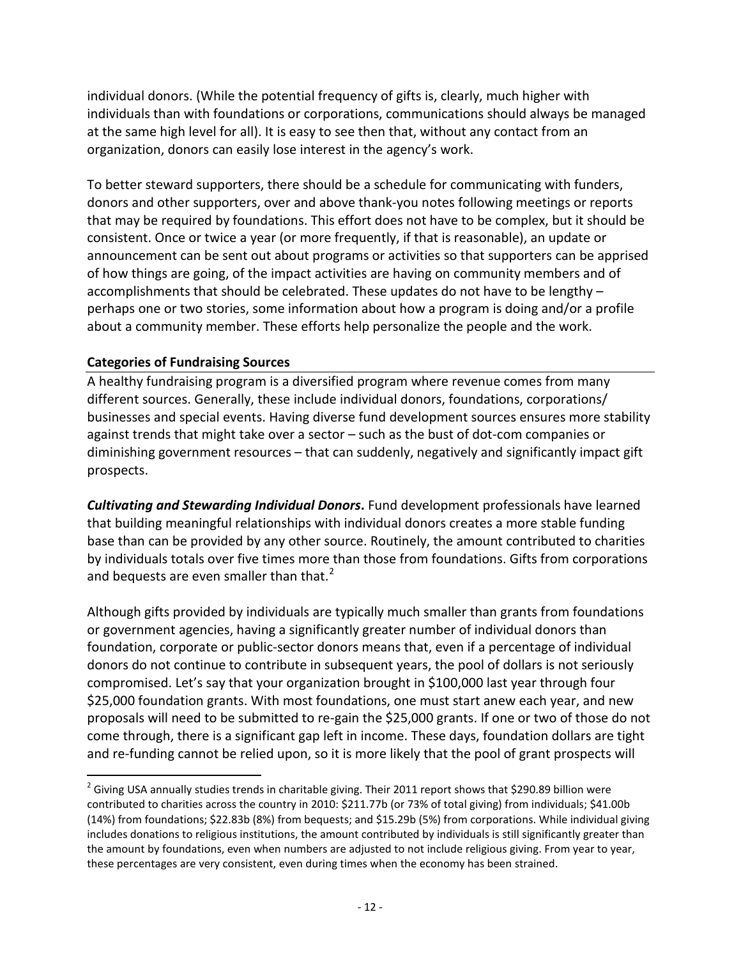individual donors. (While the potential frequency of gifts is, clearly, much higher with individuals than with foundations or corporations, communications should always be managed at the same high level for all). It is easy to see then that, without any contact from an organization, donors can easily lose interest in the agency's work.

To better steward supporters, there should be a schedule for communicating with funders, donors and other supporters, over and above thank-you notes following meetings or reports that may be required by foundations. This effort does not have to be complex, but it should be consistent. Once or twice a year (or more frequently, if that is reasonable), an update or announcement can be sent out about programs or activities so that supporters can be apprised of how things are going, of the impact activities are having on community members and of accomplishments that should be celebrated. These updates do not have to be lengthy – perhaps one or two stories, some information about how a program is doing and/or a profile about a community member. These efforts help personalize the people and the work.

### <span id="page-11-0"></span>**Categories of Fundraising Sources**

A healthy fundraising program is a diversified program where revenue comes from many different sources. Generally, these include individual donors, foundations, corporations/ businesses and special events. Having diverse fund development sources ensures more stability against trends that might take over a sector – such as the bust of dot-com companies or diminishing government resources – that can suddenly, negatively and significantly impact gift prospects.

*Cultivating and Stewarding Individual Donors***.** Fund development professionals have learned that building meaningful relationships with individual donors creates a more stable funding base than can be provided by any other source. Routinely, the amount contributed to charities by individuals totals over five times more than those from foundations. Gifts from corporations and bequests are even smaller than that. $2<sup>2</sup>$  $2<sup>2</sup>$ 

Although gifts provided by individuals are typically much smaller than grants from foundations or government agencies, having a significantly greater number of individual donors than foundation, corporate or public-sector donors means that, even if a percentage of individual donors do not continue to contribute in subsequent years, the pool of dollars is not seriously compromised. Let's say that your organization brought in \$100,000 last year through four \$25,000 foundation grants. With most foundations, one must start anew each year, and new proposals will need to be submitted to re-gain the \$25,000 grants. If one or two of those do not come through, there is a significant gap left in income. These days, foundation dollars are tight and re-funding cannot be relied upon, so it is more likely that the pool of grant prospects will

<span id="page-11-1"></span> $^2$  Giving USA annually studies trends in charitable giving. Their 2011 report shows that \$290.89 billion were contributed to charities across the country in 2010: \$211.77b (or 73% of total giving) from individuals; \$41.00b (14%) from foundations; \$22.83b (8%) from bequests; and \$15.29b (5%) from corporations. While individual giving includes donations to religious institutions, the amount contributed by individuals is still significantly greater than the amount by foundations, even when numbers are adjusted to not include religious giving. From year to year, these percentages are very consistent, even during times when the economy has been strained.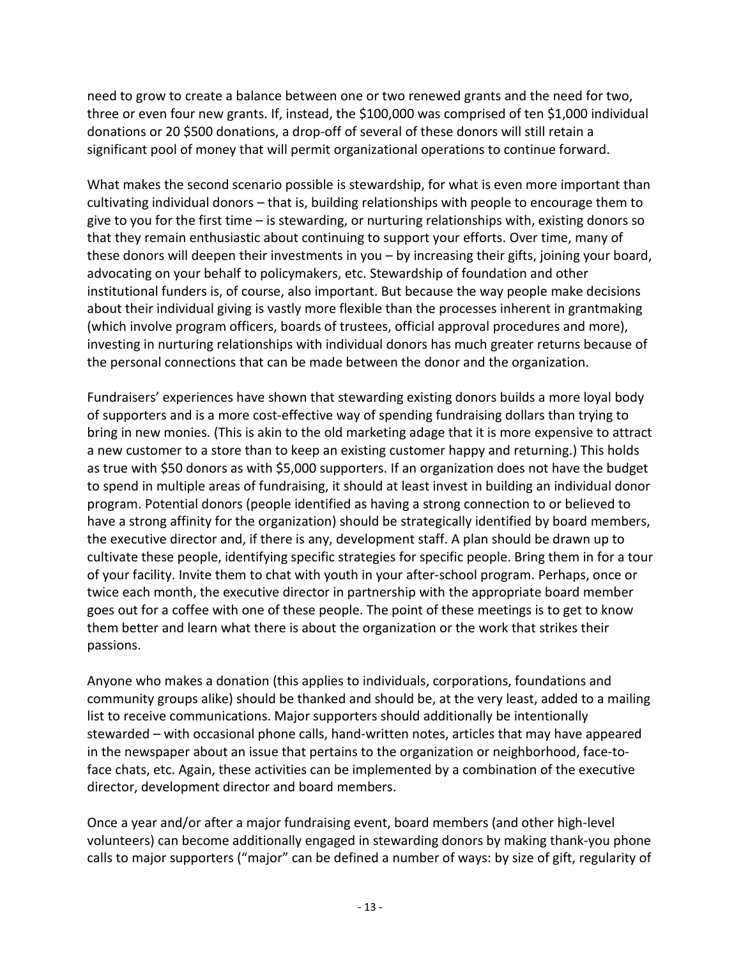need to grow to create a balance between one or two renewed grants and the need for two, three or even four new grants. If, instead, the \$100,000 was comprised of ten \$1,000 individual donations or 20 \$500 donations, a drop-off of several of these donors will still retain a significant pool of money that will permit organizational operations to continue forward.

What makes the second scenario possible is stewardship, for what is even more important than cultivating individual donors – that is, building relationships with people to encourage them to give to you for the first time – is stewarding, or nurturing relationships with, existing donors so that they remain enthusiastic about continuing to support your efforts. Over time, many of these donors will deepen their investments in you – by increasing their gifts, joining your board, advocating on your behalf to policymakers, etc. Stewardship of foundation and other institutional funders is, of course, also important. But because the way people make decisions about their individual giving is vastly more flexible than the processes inherent in grantmaking (which involve program officers, boards of trustees, official approval procedures and more), investing in nurturing relationships with individual donors has much greater returns because of the personal connections that can be made between the donor and the organization.

Fundraisers' experiences have shown that stewarding existing donors builds a more loyal body of supporters and is a more cost-effective way of spending fundraising dollars than trying to bring in new monies. (This is akin to the old marketing adage that it is more expensive to attract a new customer to a store than to keep an existing customer happy and returning.) This holds as true with \$50 donors as with \$5,000 supporters. If an organization does not have the budget to spend in multiple areas of fundraising, it should at least invest in building an individual donor program. Potential donors (people identified as having a strong connection to or believed to have a strong affinity for the organization) should be strategically identified by board members, the executive director and, if there is any, development staff. A plan should be drawn up to cultivate these people, identifying specific strategies for specific people. Bring them in for a tour of your facility. Invite them to chat with youth in your after-school program. Perhaps, once or twice each month, the executive director in partnership with the appropriate board member goes out for a coffee with one of these people. The point of these meetings is to get to know them better and learn what there is about the organization or the work that strikes their passions.

Anyone who makes a donation (this applies to individuals, corporations, foundations and community groups alike) should be thanked and should be, at the very least, added to a mailing list to receive communications. Major supporters should additionally be intentionally stewarded – with occasional phone calls, hand-written notes, articles that may have appeared in the newspaper about an issue that pertains to the organization or neighborhood, face-toface chats, etc. Again, these activities can be implemented by a combination of the executive director, development director and board members.

Once a year and/or after a major fundraising event, board members (and other high-level volunteers) can become additionally engaged in stewarding donors by making thank-you phone calls to major supporters ("major" can be defined a number of ways: by size of gift, regularity of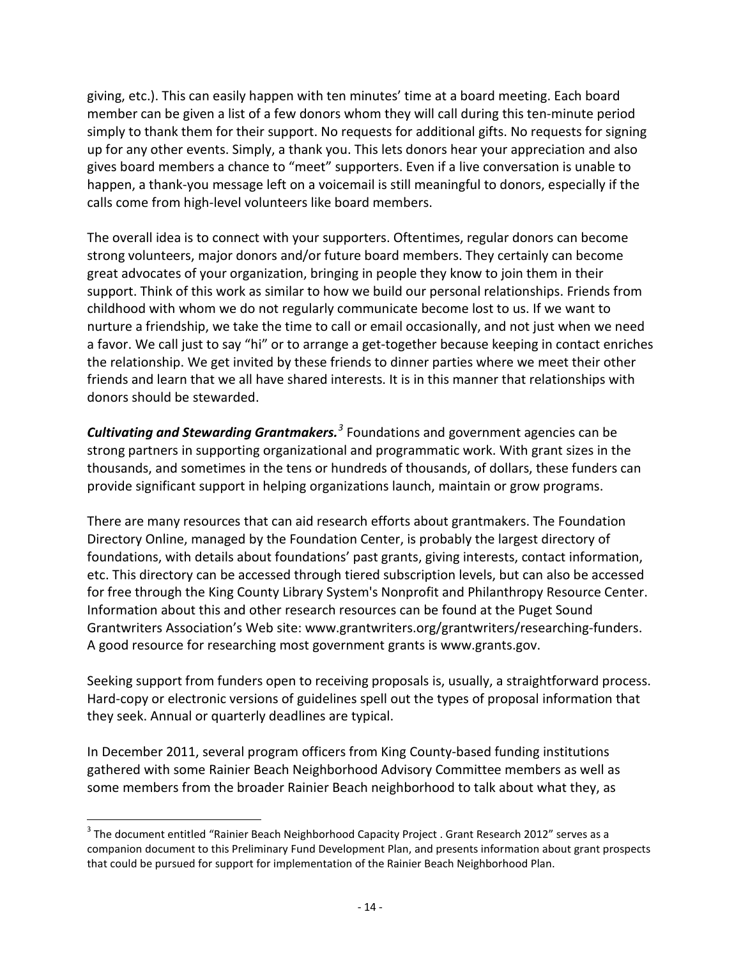giving, etc.). This can easily happen with ten minutes' time at a board meeting. Each board member can be given a list of a few donors whom they will call during this ten-minute period simply to thank them for their support. No requests for additional gifts. No requests for signing up for any other events. Simply, a thank you. This lets donors hear your appreciation and also gives board members a chance to "meet" supporters. Even if a live conversation is unable to happen, a thank-you message left on a voicemail is still meaningful to donors, especially if the calls come from high-level volunteers like board members.

The overall idea is to connect with your supporters. Oftentimes, regular donors can become strong volunteers, major donors and/or future board members. They certainly can become great advocates of your organization, bringing in people they know to join them in their support. Think of this work as similar to how we build our personal relationships. Friends from childhood with whom we do not regularly communicate become lost to us. If we want to nurture a friendship, we take the time to call or email occasionally, and not just when we need a favor. We call just to say "hi" or to arrange a get-together because keeping in contact enriches the relationship. We get invited by these friends to dinner parties where we meet their other friends and learn that we all have shared interests. It is in this manner that relationships with donors should be stewarded.

*Cultivating and Stewarding Grantmakers. [3](#page-13-0)* Foundations and government agencies can be strong partners in supporting organizational and programmatic work. With grant sizes in the thousands, and sometimes in the tens or hundreds of thousands, of dollars, these funders can provide significant support in helping organizations launch, maintain or grow programs.

There are many resources that can aid research efforts about grantmakers. The Foundation Directory Online, managed by the Foundation Center, is probably the largest directory of foundations, with details about foundations' past grants, giving interests, contact information, etc. This directory can be accessed through tiered subscription levels, but can also be accessed for free through the King County Library System's Nonprofit and Philanthropy Resource Center. Information about this and other research resources can be found at the Puget Sound Grantwriters Association's Web site: www.grantwriters.org/grantwriters/researching-funders. A good resource for researching most government grants is www.grants.gov.

Seeking support from funders open to receiving proposals is, usually, a straightforward process. Hard-copy or electronic versions of guidelines spell out the types of proposal information that they seek. Annual or quarterly deadlines are typical.

In December 2011, several program officers from King County-based funding institutions gathered with some Rainier Beach Neighborhood Advisory Committee members as well as some members from the broader Rainier Beach neighborhood to talk about what they, as

<span id="page-13-0"></span><sup>&</sup>lt;sup>3</sup> The document entitled "Rainier Beach Neighborhood Capacity Project . Grant Research 2012" serves as a companion document to this Preliminary Fund Development Plan, and presents information about grant prospects that could be pursued for support for implementation of the Rainier Beach Neighborhood Plan.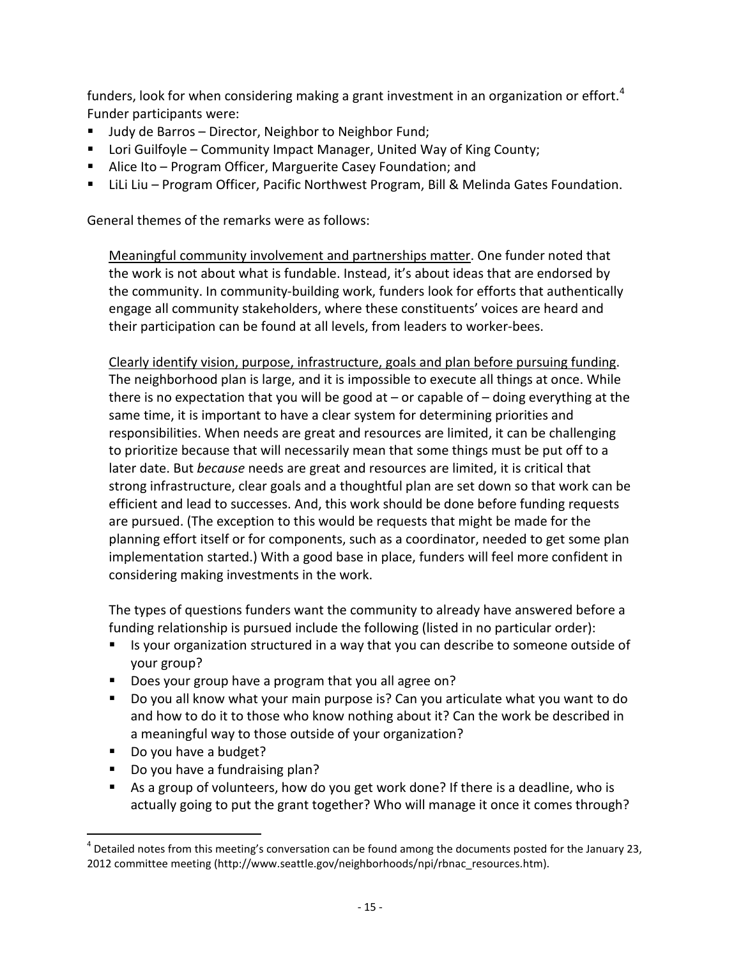funders, look for when considering making a grant investment in an organization or effort.<sup>[4](#page-14-0)</sup> Funder participants were:

- Judy de Barros Director, Neighbor to Neighbor Fund;
- Lori Guilfoyle Community Impact Manager, United Way of King County;
- Alice Ito Program Officer, Marguerite Casey Foundation; and
- LiLi Liu Program Officer, Pacific Northwest Program, Bill & Melinda Gates Foundation.

General themes of the remarks were as follows:

Meaningful community involvement and partnerships matter. One funder noted that the work is not about what is fundable. Instead, it's about ideas that are endorsed by the community. In community-building work, funders look for efforts that authentically engage all community stakeholders, where these constituents' voices are heard and their participation can be found at all levels, from leaders to worker-bees.

Clearly identify vision, purpose, infrastructure, goals and plan before pursuing funding. The neighborhood plan is large, and it is impossible to execute all things at once. While there is no expectation that you will be good at – or capable of – doing everything at the same time, it is important to have a clear system for determining priorities and responsibilities. When needs are great and resources are limited, it can be challenging to prioritize because that will necessarily mean that some things must be put off to a later date. But *because* needs are great and resources are limited, it is critical that strong infrastructure, clear goals and a thoughtful plan are set down so that work can be efficient and lead to successes. And, this work should be done before funding requests are pursued. (The exception to this would be requests that might be made for the planning effort itself or for components, such as a coordinator, needed to get some plan implementation started.) With a good base in place, funders will feel more confident in considering making investments in the work.

The types of questions funders want the community to already have answered before a funding relationship is pursued include the following (listed in no particular order):

- **If** Is your organization structured in a way that you can describe to someone outside of your group?
- Does your group have a program that you all agree on?
- Do you all know what your main purpose is? Can you articulate what you want to do and how to do it to those who know nothing about it? Can the work be described in a meaningful way to those outside of your organization?
- Do you have a budget?
- Do you have a fundraising plan?
- As a group of volunteers, how do you get work done? If there is a deadline, who is actually going to put the grant together? Who will manage it once it comes through?

<span id="page-14-0"></span> $<sup>4</sup>$  Detailed notes from this meeting's conversation can be found among the documents posted for the January 23,</sup> 2012 committee meeting (http://www.seattle.gov/neighborhoods/npi/rbnac\_resources.htm).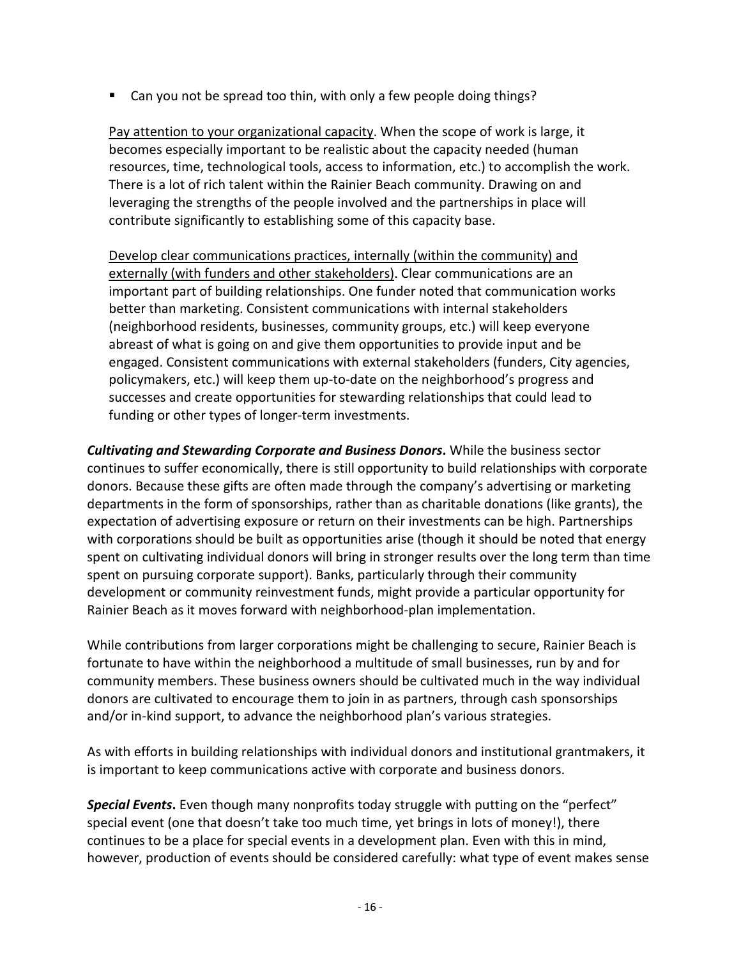■ Can you not be spread too thin, with only a few people doing things?

Pay attention to your organizational capacity. When the scope of work is large, it becomes especially important to be realistic about the capacity needed (human resources, time, technological tools, access to information, etc.) to accomplish the work. There is a lot of rich talent within the Rainier Beach community. Drawing on and leveraging the strengths of the people involved and the partnerships in place will contribute significantly to establishing some of this capacity base.

Develop clear communications practices, internally (within the community) and externally (with funders and other stakeholders). Clear communications are an important part of building relationships. One funder noted that communication works better than marketing. Consistent communications with internal stakeholders (neighborhood residents, businesses, community groups, etc.) will keep everyone abreast of what is going on and give them opportunities to provide input and be engaged. Consistent communications with external stakeholders (funders, City agencies, policymakers, etc.) will keep them up-to-date on the neighborhood's progress and successes and create opportunities for stewarding relationships that could lead to funding or other types of longer-term investments.

*Cultivating and Stewarding Corporate and Business Donors***.** While the business sector continues to suffer economically, there is still opportunity to build relationships with corporate donors. Because these gifts are often made through the company's advertising or marketing departments in the form of sponsorships, rather than as charitable donations (like grants), the expectation of advertising exposure or return on their investments can be high. Partnerships with corporations should be built as opportunities arise (though it should be noted that energy spent on cultivating individual donors will bring in stronger results over the long term than time spent on pursuing corporate support). Banks, particularly through their community development or community reinvestment funds, might provide a particular opportunity for Rainier Beach as it moves forward with neighborhood-plan implementation.

While contributions from larger corporations might be challenging to secure, Rainier Beach is fortunate to have within the neighborhood a multitude of small businesses, run by and for community members. These business owners should be cultivated much in the way individual donors are cultivated to encourage them to join in as partners, through cash sponsorships and/or in-kind support, to advance the neighborhood plan's various strategies.

As with efforts in building relationships with individual donors and institutional grantmakers, it is important to keep communications active with corporate and business donors.

**Special Events.** Even though many nonprofits today struggle with putting on the "perfect" special event (one that doesn't take too much time, yet brings in lots of money!), there continues to be a place for special events in a development plan. Even with this in mind, however, production of events should be considered carefully: what type of event makes sense